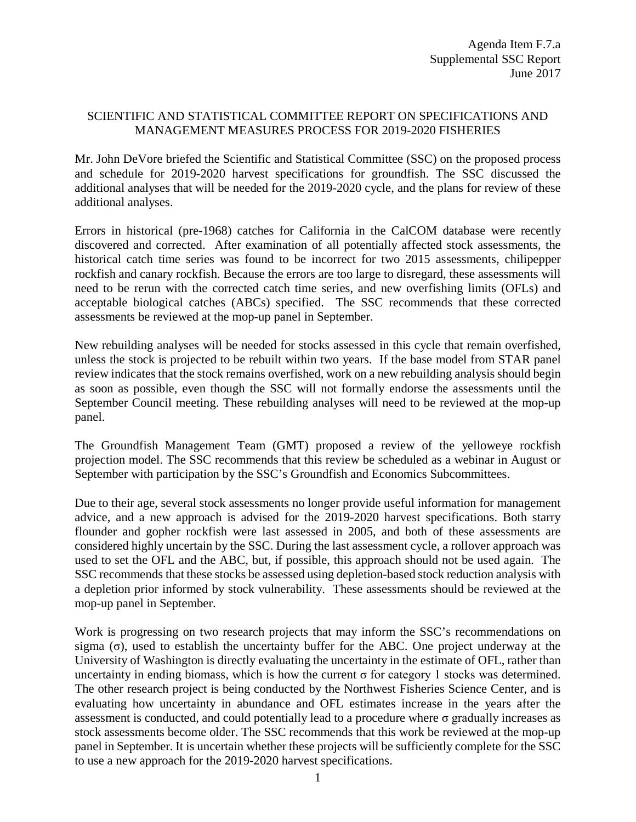## SCIENTIFIC AND STATISTICAL COMMITTEE REPORT ON SPECIFICATIONS AND MANAGEMENT MEASURES PROCESS FOR 2019-2020 FISHERIES

Mr. John DeVore briefed the Scientific and Statistical Committee (SSC) on the proposed process and schedule for 2019-2020 harvest specifications for groundfish. The SSC discussed the additional analyses that will be needed for the 2019-2020 cycle, and the plans for review of these additional analyses.

Errors in historical (pre-1968) catches for California in the CalCOM database were recently discovered and corrected. After examination of all potentially affected stock assessments, the historical catch time series was found to be incorrect for two 2015 assessments, chilipepper rockfish and canary rockfish. Because the errors are too large to disregard, these assessments will need to be rerun with the corrected catch time series, and new overfishing limits (OFLs) and acceptable biological catches (ABCs) specified. The SSC recommends that these corrected assessments be reviewed at the mop-up panel in September.

New rebuilding analyses will be needed for stocks assessed in this cycle that remain overfished, unless the stock is projected to be rebuilt within two years. If the base model from STAR panel review indicates that the stock remains overfished, work on a new rebuilding analysis should begin as soon as possible, even though the SSC will not formally endorse the assessments until the September Council meeting. These rebuilding analyses will need to be reviewed at the mop-up panel.

The Groundfish Management Team (GMT) proposed a review of the yelloweye rockfish projection model. The SSC recommends that this review be scheduled as a webinar in August or September with participation by the SSC's Groundfish and Economics Subcommittees.

Due to their age, several stock assessments no longer provide useful information for management advice, and a new approach is advised for the 2019-2020 harvest specifications. Both starry flounder and gopher rockfish were last assessed in 2005, and both of these assessments are considered highly uncertain by the SSC. During the last assessment cycle, a rollover approach was used to set the OFL and the ABC, but, if possible, this approach should not be used again. The SSC recommends that these stocks be assessed using depletion-based stock reduction analysis with a depletion prior informed by stock vulnerability. These assessments should be reviewed at the mop-up panel in September.

Work is progressing on two research projects that may inform the SSC's recommendations on sigma ( $\sigma$ ), used to establish the uncertainty buffer for the ABC. One project underway at the University of Washington is directly evaluating the uncertainty in the estimate of OFL, rather than uncertainty in ending biomass, which is how the current  $\sigma$  for category 1 stocks was determined. The other research project is being conducted by the Northwest Fisheries Science Center, and is evaluating how uncertainty in abundance and OFL estimates increase in the years after the assessment is conducted, and could potentially lead to a procedure where  $\sigma$  gradually increases as stock assessments become older. The SSC recommends that this work be reviewed at the mop-up panel in September. It is uncertain whether these projects will be sufficiently complete for the SSC to use a new approach for the 2019-2020 harvest specifications.